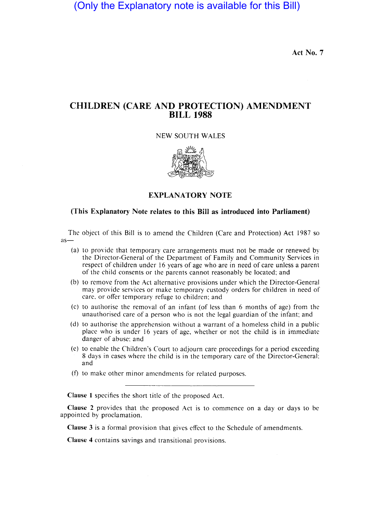(Only the Explanatory note is available for this Bill)

Act No. 7

# CHILDREN (CARE AND PROTECTION) AMENDMENT BILL 1988

NEW SOUTH WALES



EXPLANATORY NOTE

## (This Explanatory Note relates to this Bill as introduced into Parliament)

The object of this Bill is to amend the Children (Care and Protection) Act 1987 so  $as-$ 

- (a) to provide that temporary care arrangements must not be made or renewed by the Director-General of the Department of Family and Community Services in respect of children under 16 years of age who are in need of care unless a parent of the child consents or the parents cannot reasonably be located; and
- (b) to remove from the Act alternative provisions under which the Director-General may provide services or make temporary custody orders for children in need of care, or offer temporary refuge to children; and
- (c) to authorise the removal of an infant (of less than 6 months of age) from the unauthorised care of a person who is not the legal guardian of the infant; and
- (d) to authorise the apprehension without a warrant of a homeless child in a public place who is under 16 years of age, whether or not the child is in immediate danger of abuse; and
- (e) to enable the Children's Court to adjourn care proceedings for a period exceeding 8 days in cases where the child is in the temporary care of the Director-General: and
- (f) to make other minor amendments for related purposes.

Clause 1 specifics the short title of the proposed Act.

Clause 2 provides that the proposed Act is to commence on a day or days to be appointed by proclamation.

Clause 3 is a formal provision that gives effect to the Schedule of amendments.

Clause 4 contains savings and transitional provisions.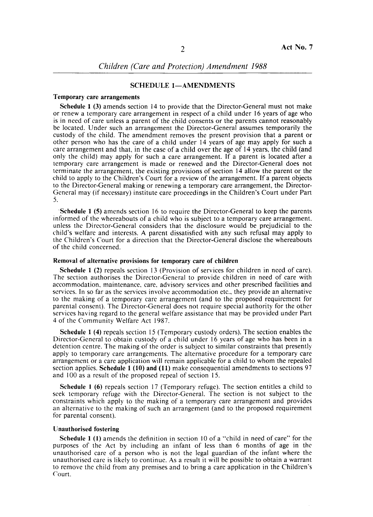## SCHEDULE 1-AMENDMENTS

#### Temporary care arrangements

Schedule I (3) amends section 14 to provide that the Director-General must not make or renew a temporary care arrangement in respect of a child under 16 years of age who is in need of care unless a parent of the child consents or the parents cannot reasonably be located. Under such an arrangement the Director-General assumes temporarily the custody of the child. The amendment removes the present provision that a parent or other person who has the care of a child under 14 years of age may apply for such a care arrangement and that, in the case of a child over the age of 14 years, the child (and only the child) may apply for such a care arrangement. If a parent is located after a temporary care arrangement is made or renewed and the Director-General does not terminate the arrangement, the existing provisions of section 14 allow the parent or the child to apply to the Children's Court for a review of the arrangement. If a parent objects to the Director-General making or renewing a temporary care arrangement, the Director-General may (if necessary) institute care proceedings in the Children's Court under Part 5.

Schedule 1 (5) amends section 16 to require the Director-General to keep the parents informed of the whereabouts of a child who is subject to a temporary care arrangement. unless the Director-General considers that the disclosure would be prejudicial to the child's welfare and interests. A parent dissatisfied with any such refusal may apply to the Children's Court for a direction that the Director-General disclose the whereabouts of the child concerned.

## Removal of alternative provisions for temporary care of children

Schedule 1 (2) repeals section 13 (Provision of services for children in need of care). The section authorises the Director-General to provide children in need of care with accommodation, maintenance, care, advisory services and other prescribed facilities and services. In so far as the services involve accommodation etc., they provide an alternative to the making of a temporary care arrangement (and to the proposed requirement for parental consent). The Director-General does not require special authority for the other services having regard to the general welfare assistance that may be provided under Part 4 of the Community Welfare Act 1987.

Schedule 1 (4) repeals section 15 (Temporary custody orders). The section enables the Director-General to obtain custody of a child under 16 years of age who has been in a detention centre. The making of the order is subject to similar constraints that presently apply to temporary care arrangements. The alternative procedure for a temporary care arrangement or a care application will remain applicable for a child to whom the repealed section applies. Schedule I (10) and (11) make consequential amendments to sections 97 and 100 as a result of the proposed repeal of section 15.

Schedule 1 (6) repeals section 17 (Temporary refuge). The section entitles a child to seek temporary refuge with the Director-General. The section is not subject to the constraints which apply to the making of a temporary care arrangement and provides an alternative to the making of such an arrangement (and to the proposed requirement for parental consent).

#### Unauthorised fostering

Schedule 1 (1) amends the definition in section 10 of a "child in need of care" for the purposes of the Act by including an infant of less than 6 months of age in the unauthorised care of a person who is not the legal guardian of the infant where the unauthorised care is likely to continue. As a result it will be possible to obtain a warrant to remove the child from any premises and to bring a care application in the Children's Court.